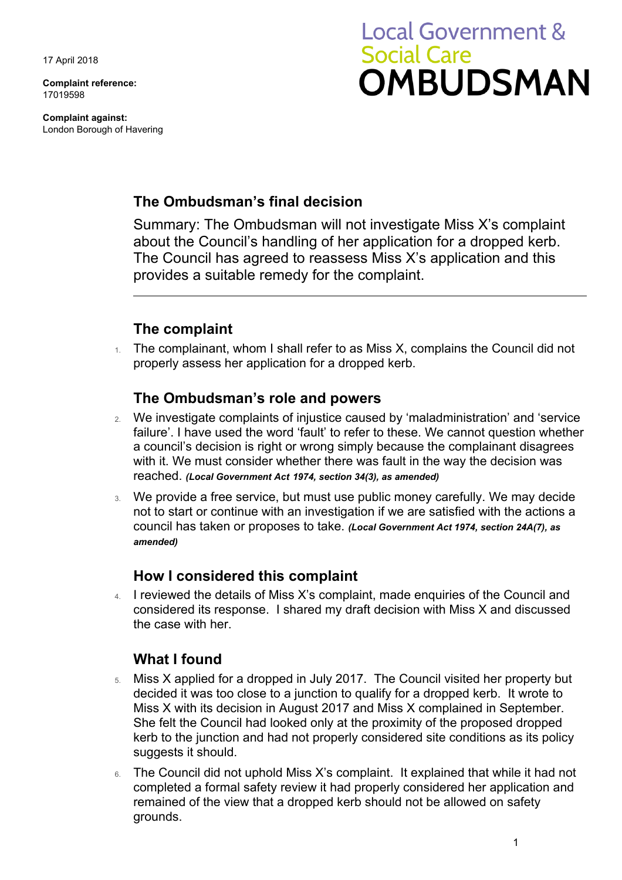17 April 2018

**Complaint reference:**  17019598

**Complaint against:**  London Borough of Havering

# **Local Government & Social Care OMBUDSMAN**

### **The Ombudsman's final decision**

Summary: The Ombudsman will not investigate Miss X's complaint about the Council's handling of her application for a dropped kerb. The Council has agreed to reassess Miss X's application and this provides a suitable remedy for the complaint.

# **The complaint**

1. The complainant, whom I shall refer to as Miss X, complains the Council did not properly assess her application for a dropped kerb.

#### **The Ombudsman's role and powers**

- 2. We investigate complaints of injustice caused by 'maladministration' and 'service failure'. I have used the word 'fault' to refer to these. We cannot question whether a council's decision is right or wrong simply because the complainant disagrees with it. We must consider whether there was fault in the way the decision was reached. *(Local Government Act 1974, section 34(3), as amended)*
- not to start or continue with an investigation if we are satisfied with the actions a 3. We provide a free service, but must use public money carefully. We may decide council has taken or proposes to take. *(Local Government Act 1974, section 24A(7), as amended)*

#### **How I considered this complaint**

4. I reviewed the details of Miss X's complaint, made enquiries of the Council and considered its response. I shared my draft decision with Miss X and discussed the case with her.

# **What I found**

- $5.$  Miss X applied for a dropped in July 2017. The Council visited her property but decided it was too close to a junction to qualify for a dropped kerb. It wrote to Miss X with its decision in August 2017 and Miss X complained in September. She felt the Council had looked only at the proximity of the proposed dropped kerb to the junction and had not properly considered site conditions as its policy suggests it should.
- remained of the view that a dropped kerb should not be allowed on safety 6. The Council did not uphold Miss X's complaint. It explained that while it had not completed a formal safety review it had properly considered her application and grounds.